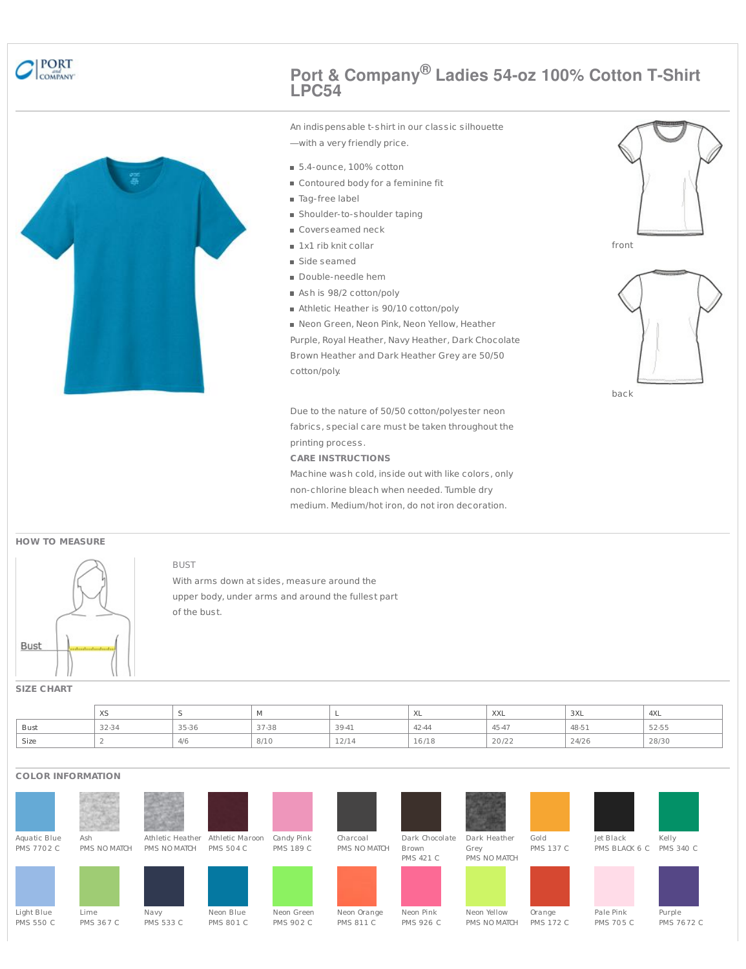

# **Port & Company® Ladies 54-oz 100% Cotton T-Shirt LPC54**



An indispensable t-shirt in our classic silhouette —with a very friendly price.

- 5.4-ounce, 100% cotton
- Contoured body for a feminine fit
- Tag-free label
- Shoulder-to-shoulder taping
- Coverseamed neck
- 1x1 rib knit collar
- Side seamed
- Double-needle hem
- Ash is 98/2 cotton/poly
- Athletic Heather is 90/10 cotton/poly
- Neon Green, Neon Pink, Neon Yellow, Heather

Purple, Royal Heather, Navy Heather, Dark Chocolate Brown Heather and Dark Heather Grey are 50/50 cotton/poly.

back

front

Due to the nature of 50/50 cotton/polyester neon fabrics, special care must be taken throughout the printing process.

#### **CARE INSTRUCTIONS**

Machine wash cold, inside out with like colors, only non-chlorine bleach when needed. Tumble dry medium. Medium/hot iron, do not iron decoration.

### **HOW TO MEASURE**



With arms down at sides, measure around the upper body, under arms and around the fullest part of the bust.

## **SIZE CHART**

|      | $\vee$<br>$\sim$ |       |       |       | ⋏∟    | $\lambda$<br>$\wedge\wedge\wedge$ | 3XL   | 4XL   |
|------|------------------|-------|-------|-------|-------|-----------------------------------|-------|-------|
| Bust | 32-34            | 35-36 | 37-38 | 39-41 | 42-44 | 454                               | 48-51 | 52-55 |
| Size |                  |       | 8/10  | 12/14 | 16/18 | 20/22                             | 24/26 | 28/30 |

## **COLOR INFORMATION**



BUST



Neon Yellow







PMS BLACK 6 C PMS 340 C



PMS NO MATCH PMS 172 C

Pale Pink PMS 705 C Purple PMS 7672 C

Orange